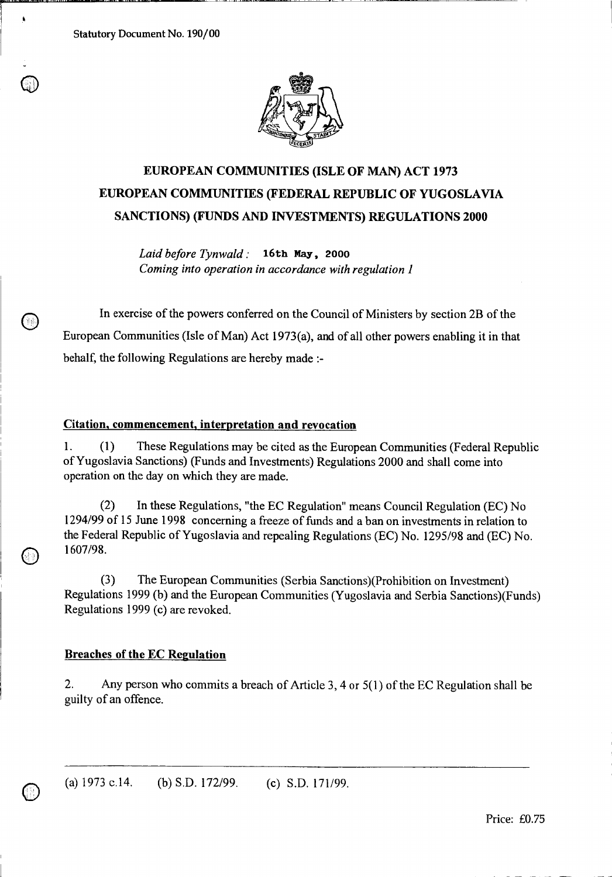Statutory Document No. 190/00

o

 $\pmb{\Lambda}$ 

0

 $\circledcirc$ 



# **EUROPEAN COMMUNITIES (ISLE OF MAN) ACT 1973 EUROPEAN COMMUNITIES (FEDERAL REPUBLIC OF YUGOSLAVIA SANCTIONS) (FUNDS AND INVESTMENTS) REGULATIONS 2000**

*Laid before Tynwald :* **16th May, 2000**  *Coming into operation in accordance with regulation 1* 

In exercise of the powers conferred on the Council of Ministers by section 2B of the European Communities (Isle of Man) Act 1973(a), and of all other powers enabling it in that behalf, the following Regulations are hereby made :-

#### **Citation, commencement, interpretation and revocation**

1. (1) These Regulations may be cited as the European Communities (Federal Republic of Yugoslavia Sanctions) (Funds and Investments) Regulations 2000 and shall come into operation on the day on which they are made.

(2) In these Regulations, "the EC Regulation" means Council Regulation (EC) No 1294/99 of 15 June 1998 concerning a freeze of funds and a ban on investments in relation to the Federal Republic of Yugoslavia and repealing Regulations (EC) No. 1295/98 and (EC) No. 1607/98.

(3) The European Communities (Serbia Sanctions)(Prohibition on Investment) Regulations 1999 (b) and the European Communities (Yugoslavia and Serbia Sanctions)(Funds) Regulations 1999 (c) are revoked.

### **Breaches of the EC Regulation**

2. Any person who commits a breach of Article 3, 4 or 5(1) of the EC Regulation shall be guilty of an offence.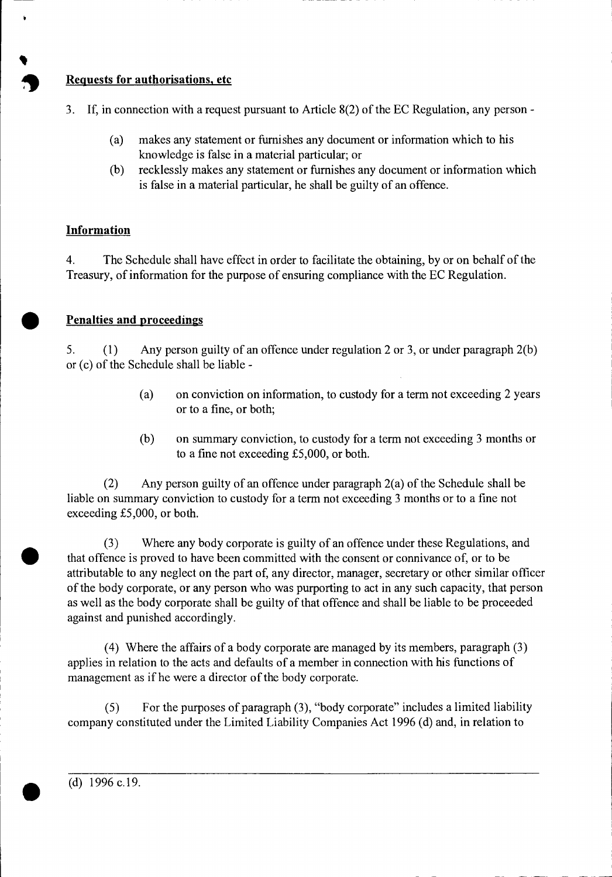## **10 Requests for authorisations, etc**

- 3. If, in connection with a request pursuant to Article 8(2) of the EC Regulation, any person
	- (a) makes any statement or furnishes any document or information which to his knowledge is false in a material particular; or
	- (b) recklessly makes any statement or furnishes any document or information which is false in a material particular, he shall be guilty of an offence.

# **Information**

**•**

4. The Schedule shall have effect in order to facilitate the obtaining, by or on behalf of the Treasury, of information for the purpose of ensuring compliance with the EC Regulation.

# **Penalties and proceedings**

5. (1) Any person guilty of an offence under regulation 2 or 3, or under paragraph 2(b) or (c) of the Schedule shall be liable -

- (a) on conviction on information, to custody for a term not exceeding 2 years or to a fine, or both;
- (b) on summary conviction, to custody for a term not exceeding 3 months or to a fine not exceeding £5,000, or both.

(2) Any person guilty of an offence under paragraph 2(a) of the Schedule shall be liable on summary conviction to custody for a term not exceeding 3 months or to a fine not exceeding £5,000, or both.

(3) Where any body corporate is guilty of an offence under these Regulations, and • that offence is proved to have been committed with the consent or connivance of, or to be attributable to any neglect on the part of, any director, manager, secretary or other similar officer of the body corporate, or any person who was purporting to act in any such capacity, that person as well as the body corporate shall be guilty of that offence and shall be liable to be proceeded against and punished accordingly.

(4) Where the affairs of a body corporate are managed by its members, paragraph (3) applies in relation to the acts and defaults of a member in connection with his functions of management as if he were a director of the body corporate.

(5) For the purposes of paragraph (3), "body corporate" includes a limited liability company constituted under the Limited Liability Companies Act 1996 (d) and, in relation to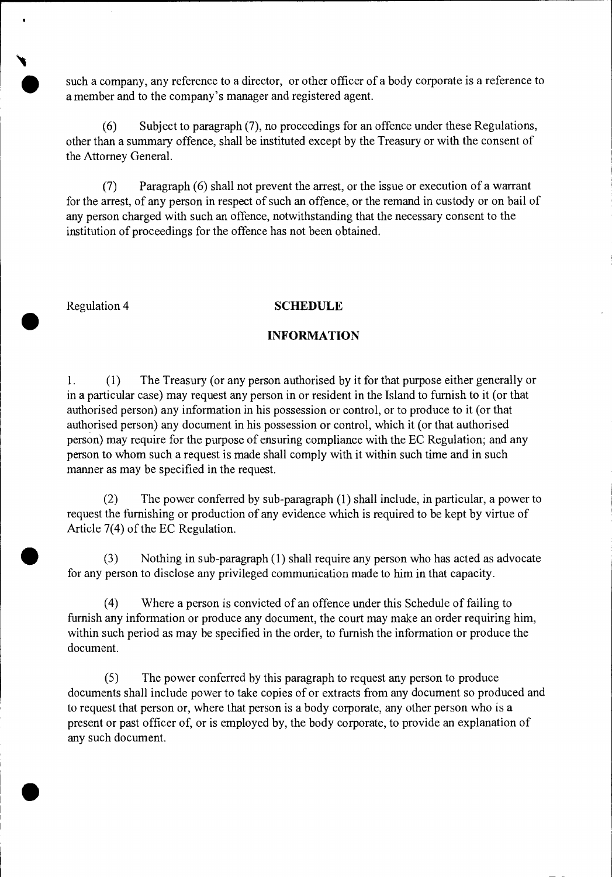such a company, any reference to a director, or other officer of a body corporate is a reference to a member and to the company's manager and registered agent.

(6) Subject to paragraph (7), no proceedings for an offence under these Regulations, other than a summary offence, shall be instituted except by the Treasury or with the consent of the Attorney General.

(7) Paragraph (6) shall not prevent the arrest, or the issue or execution of a warrant for the arrest, of any person in respect of such an offence, or the remand in custody or on bail of any person charged with such an offence, notwithstanding that the necessary consent to the institution of proceedings for the offence has not been obtained.

•<br>●

# Regulation 4 **SCHEDULE** •

#### **INFORMATION**

1. (1) The Treasury (or any person authorised by it for that purpose either generally or in a particular case) may request any person in or resident in the Island to furnish to it (or that authorised person) any information in his possession or control, or to produce to it (or that authorised person) any document in his possession or control, which it (or that authorised person) may require for the purpose of ensuring compliance with the EC Regulation; and any person to whom such a request is made shall comply with it within such time and in such manner as may be specified in the request.

(2) The power conferred by sub-paragraph (1) shall include, in particular, a power to request the furnishing or production of any evidence which is required to be kept by virtue of Article 7(4) of the EC Regulation.

(3) Nothing in sub-paragraph (1) shall require any person who has acted as advocate for any person to disclose any privileged communication made to him in that capacity.

(4) Where a person is convicted of an offence under this Schedule of failing to furnish any information or produce any document, the court may make an order requiring him, within such period as may be specified in the order, to furnish the information or produce the document.

(5) The power conferred by this paragraph to request any person to produce documents shall include power to take copies of or extracts from any document so produced and to request that person or, where that person is a body corporate, any other person who is a present or past officer of, or is employed by, the body corporate, to provide an explanation of any such document.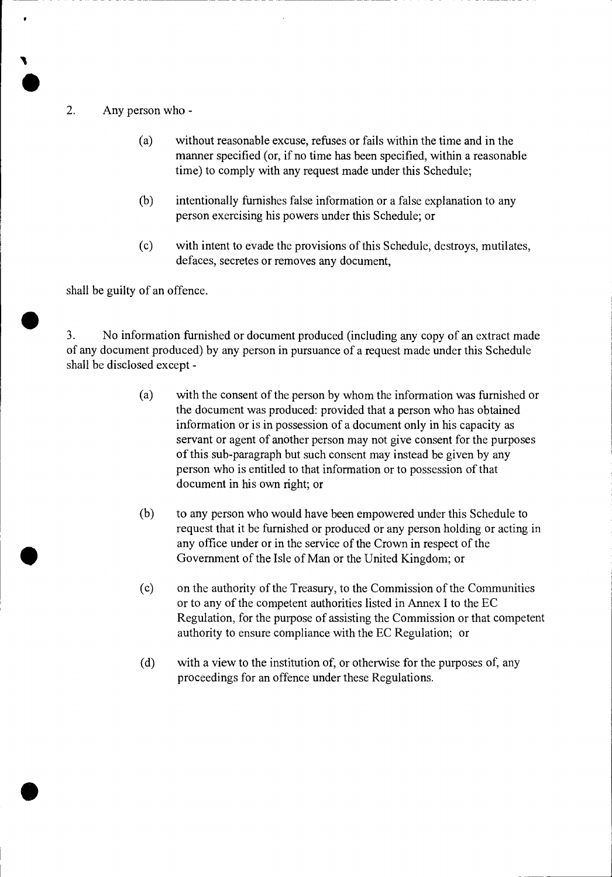### 2. Any person who -

- (a) without reasonable excuse, refuses or fails within the time and in the manner specified (or, if no time has been specified, within a reasonable time) to comply with any request made under this Schedule;
- (b) intentionally furnishes false information or a false explanation to any person exercising his powers under this Schedule; or
- (c) with intent to evade the provisions of this Schedule, destroys, mutilates, defaces, secretes or removes any document,

shall be guilty of an offence.

3. No information furnished or document produced (including any copy of an extract made I of any document produced) by any person in pursuance of a request made under this Schedule shall be disclosed except -

- (a) with the consent of the person by whom the information was furnished or the document was produced: provided that a person who has obtained information or is in possession of a document only in his capacity as servant or agent of another person may not give consent for the purposes of this sub-paragraph but such consent may instead be given by any person who is entitled to that information or to possession of that document in his own right; or
- (b) to any person who would have been empowered under this Schedule to request that it be furnished or produced or any person holding or acting in any office under or in the service of the Crown in respect of the Government of the Isle of Man or the United Kingdom; or
- (c) on the authority of the Treasury, to the Commission of the Communities or to any of the competent authorities listed in Annex I to the EC Regulation, for the purpose of assisting the Commission or that competent authority to ensure compliance with the EC Regulation; or
- (d) with a view to the institution of, or otherwise for the purposes of, any proceedings for an offence under these Regulations.